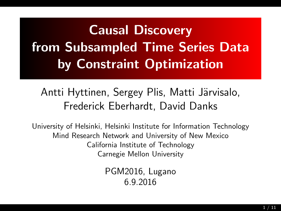# Causal Discovery from Subsampled Time Series Data by Constraint Optimization

# Antti Hyttinen, Sergey Plis, Matti Järvisalo, Frederick Eberhardt, David Danks

University of Helsinki, Helsinki Institute for Information Technology Mind Research Network and University of New Mexico California Institute of Technology Carnegie Mellon University

> PGM2016, Lugano 6.9.2016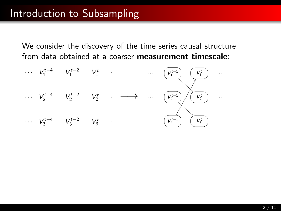#### Introduction to Subsampling

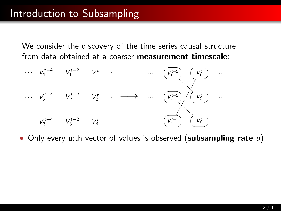

• Only every u:th vector of values is observed (subsampling rate  $u$ )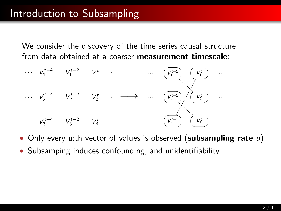

- Only every u:th vector of values is observed (subsampling rate  $u$ )
- Subsamping induces confounding, and unidentifiability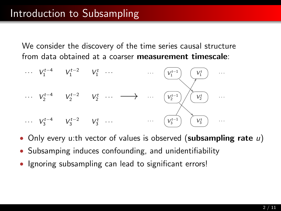

- Only every u:th vector of values is observed (subsampling rate  $u$ )
- Subsamping induces confounding, and unidentifiability
- Ignoring subsampling can lead to significant errors!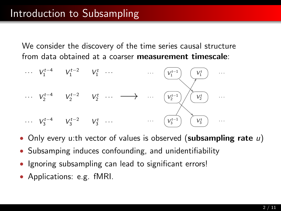

- Only every u:th vector of values is observed (subsampling rate  $u$ )
- Subsamping induces confounding, and unidentifiability
- Ignoring subsampling can lead to significant errors!
- Applications: e.g. fMRI.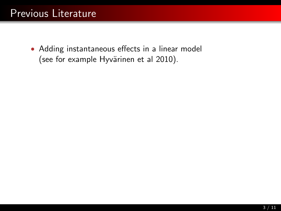<span id="page-6-0"></span>• Adding instantaneous effects in a linear model (see for example Hyvärinen et al 2010).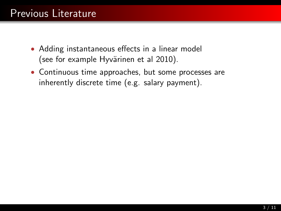- Adding instantaneous effects in a linear model (see for example Hyvärinen et al 2010).
- Continuous time approaches, but some processes are inherently discrete time (e.g. salary payment).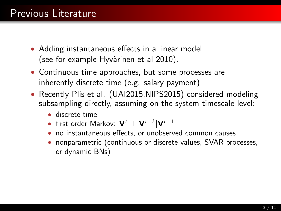- Adding instantaneous effects in a linear model (see for example Hyvärinen et al 2010).
- Continuous time approaches, but some processes are inherently discrete time (e.g. salary payment).
- Recently Plis et al. (UAI2015, NIPS2015) considered modeling subsampling directly, assuming on the system timescale level:
	- discrete time
	- first order Markov:  $\mathbf{V}^t \perp \mathbf{V}^{t-k}|\mathbf{V}^{t-1}|$
	- no instantaneous effects, or unobserved common causes
	- nonparametric (continuous or discrete values, SVAR processes, or dynamic BNs)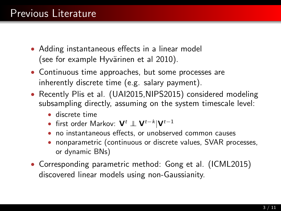- Adding instantaneous effects in a linear model (see for example Hyvärinen et al 2010).
- Continuous time approaches, but some processes are inherently discrete time (e.g. salary payment).
- Recently Plis et al. (UAI2015, NIPS2015) considered modeling subsampling directly, assuming on the system timescale level:
	- discrete time
	- first order Markov:  $\mathbf{V}^t \perp \mathbf{V}^{t-k}|\mathbf{V}^{t-1}|$
	- no instantaneous effects, or unobserved common causes
	- nonparametric (continuous or discrete values, SVAR processes, or dynamic BNs)
- Corresponding parametric method: Gong et al. (ICML2015) discovered linear models using non-Gaussianity.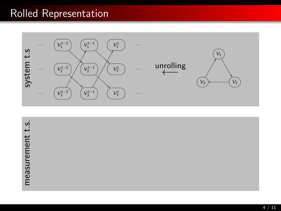#### Rolled Representation



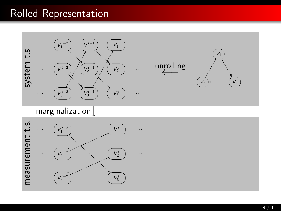# Rolled Representation

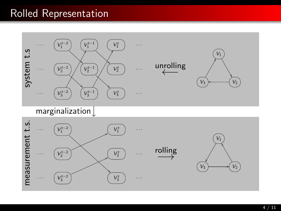#### Rolled Representation

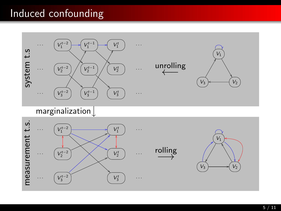## Induced confounding

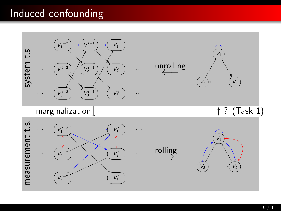## Induced confounding

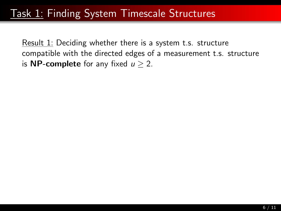#### <span id="page-15-0"></span>Task 1: [Finding System Timescale Structures](#page-15-0)

Result 1: Deciding whether there is a system t.s. structure compatible with the directed edges of a measurement t.s. structure is **NP-complete** for any fixed  $u > 2$ .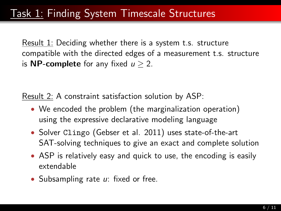Result 1: Deciding whether there is a system t.s. structure compatible with the directed edges of a measurement t.s. structure is **NP-complete** for any fixed  $u > 2$ .

Result 2: A constraint satisfaction solution by ASP:

- We encoded the problem (the marginalization operation) using the expressive declarative modeling language
- Solver Clingo (Gebser et al. 2011) uses state-of-the-art SAT-solving techniques to give an exact and complete solution
- ASP is relatively easy and quick to use, the encoding is easily extendable
- Subsampling rate u: fixed or free.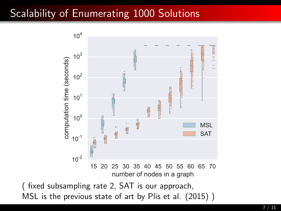# Scalability of Enumerating 1000 Solutions

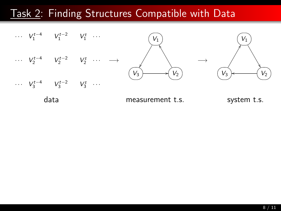

data measurement t.s. system t.s.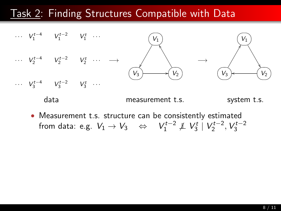

data measurement t.s. system t.s.

• Measurement t.s. structure can be consistently estimated from data: e.g.  $V_1 \rightarrow V_3 \quad \Leftrightarrow \quad V_1^{t-2} \not\perp V_3^t \mid V_2^{t-2}, V_3^{t-2}$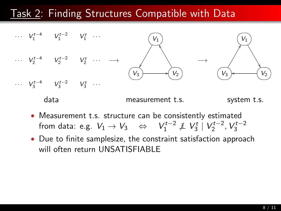

- data measurement t.s. system t.s.
- Measurement t.s. structure can be consistently estimated from data: e.g.  $V_1 \rightarrow V_3 \quad \Leftrightarrow \quad V_1^{t-2} \not\perp V_3^t \mid V_2^{t-2}, V_3^{t-2}$
- Due to finite samplesize, the constraint satisfaction approach will often return UNSATISFIABLE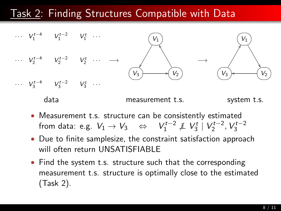

- Measurement t.s. structure can be consistently estimated from data: e.g.  $V_1 \rightarrow V_3 \quad \Leftrightarrow \quad V_1^{t-2} \not\perp V_3^t \mid V_2^{t-2}, V_3^{t-2}$
- Due to finite samplesize, the constraint satisfaction approach will often return UNSATISFIABLE
- Find the system t.s. structure such that the corresponding measurement t.s. structure is optimally close to the estimated (Task 2).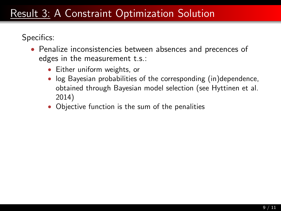- Penalize inconsistencies between absences and precences of edges in the measurement t.s.:
	- Either uniform weights, or
	- log Bayesian probabilities of the corresponding (in)dependence, obtained through Bayesian model selection (see Hyttinen et al. 2014)
	- Objective function is the sum of the penalities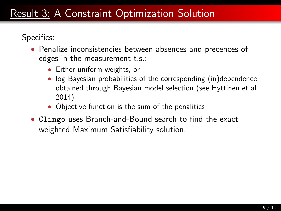- Penalize inconsistencies between absences and precences of edges in the measurement t.s.:
	- Either uniform weights, or
	- log Bayesian probabilities of the corresponding (in)dependence, obtained through Bayesian model selection (see Hyttinen et al. 2014)
	- Objective function is the sum of the penalities
- Clingo uses Branch-and-Bound search to find the exact weighted Maximum Satisfiability solution.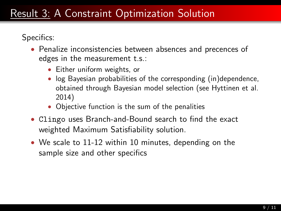- Penalize inconsistencies between absences and precences of edges in the measurement t.s.:
	- Either uniform weights, or
	- log Bayesian probabilities of the corresponding (in)dependence, obtained through Bayesian model selection (see Hyttinen et al. 2014)
	- Objective function is the sum of the penalities
- Clingo uses Branch-and-Bound search to find the exact weighted Maximum Satisfiability solution.
- We scale to 11-12 within 10 minutes, depending on the sample size and other specifics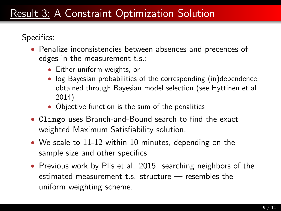- Penalize inconsistencies between absences and precences of edges in the measurement t.s.:
	- Either uniform weights, or
	- log Bayesian probabilities of the corresponding (in)dependence, obtained through Bayesian model selection (see Hyttinen et al. 2014)
	- Objective function is the sum of the penalities
- Clingo uses Branch-and-Bound search to find the exact weighted Maximum Satisfiability solution.
- We scale to 11-12 within 10 minutes, depending on the sample size and other specifics
- Previous work by Plis et al. 2015: searching neighbors of the estimated measurement t.s. structure — resembles the uniform weighting scheme.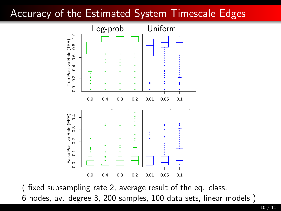# Accuracy of the Estimated System Timescale Edges



(fixed subsampling rate 2, average result of the eq. class, 6 nodes, av. degree 3, 200 samples, 100 data sets, linear models )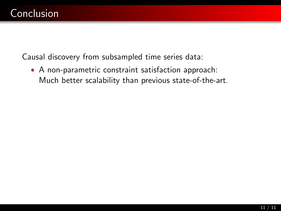• A non-parametric constraint satisfaction approach: Much better scalability than previous state-of-the-art.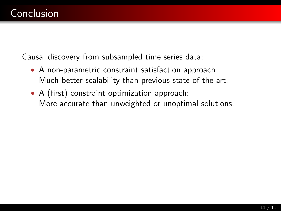- A non-parametric constraint satisfaction approach: Much better scalability than previous state-of-the-art.
- A (first) constraint optimization approach: More accurate than unweighted or unoptimal solutions.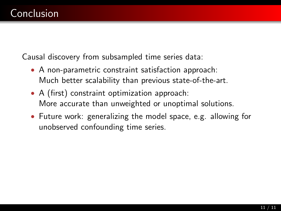- A non-parametric constraint satisfaction approach: Much better scalability than previous state-of-the-art.
- A (first) constraint optimization approach: More accurate than unweighted or unoptimal solutions.
- Future work: generalizing the model space, e.g. allowing for unobserved confounding time series.